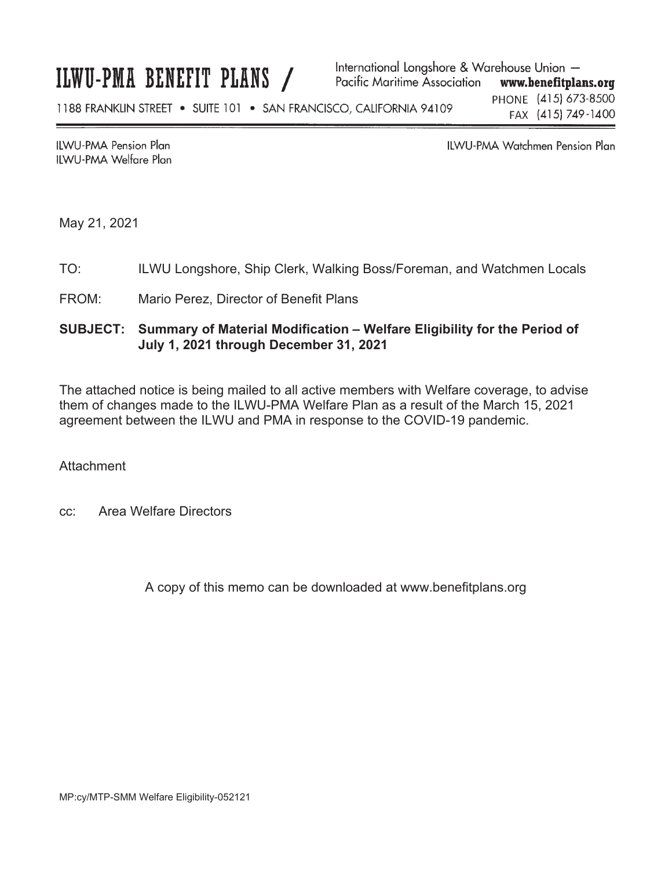#### International Longshore & Warehouse Union -ILWU-PMA BENEFIT PLANS / Pacific Maritime Association www.benefitplans.org PHONE (415) 673-8500 1188 FRANKLIN STREET . SUITE 101 . SAN FRANCISCO, CALIFORNIA 94109 FAX (415) 749-1400

**ILWU-PMA Pension Plan ILWU-PMA Welfare Plan**  **ILWU-PMA Watchmen Pension Plan** 

May 21, 2021

## TO: ILWU Longshore, Ship Clerk, Walking Boss/Foreman, and Watchmen Locals

### FROM: Mario Perez, Director of Benefit Plans

# **SUBJECT: Summary of Material Modification – Welfare Eligibility for the Period of July 1, 2021 through December 31, 2021**

The attached notice is being mailed to all active members with Welfare coverage, to advise them of changes made to the ILWU-PMA Welfare Plan as a result of the March 15, 2021 agreement between the ILWU and PMA in response to the COVID-19 pandemic.

**Attachment** 

cc: Area Welfare Directors

A copy of this memo can be downloaded at www.benefitplans.org